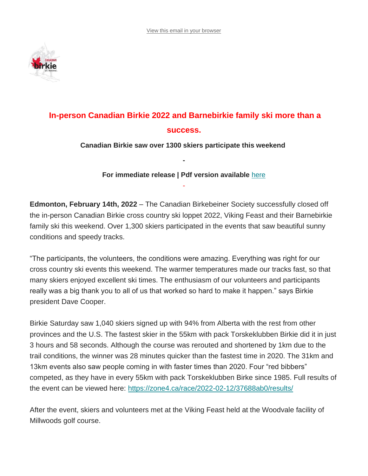

# **In-person Canadian Birkie 2022 and Barnebirkie family ski more than a success.**

**Canadian Birkie saw over 1300 skiers participate this weekend**

**For immediate release | Pdf version available** [here](https://canadianbirkie.com/wp-content/uploads/20220214_canadianbirkie_mediarelease1824.pdf) -

**-**

**Edmonton, February 14th, 2022** – The Canadian Birkebeiner Society successfully closed off the in-person Canadian Birkie cross country ski loppet 2022, Viking Feast and their Barnebirkie family ski this weekend. Over 1,300 skiers participated in the events that saw beautiful sunny conditions and speedy tracks.

"The participants, the volunteers, the conditions were amazing. Everything was right for our cross country ski events this weekend. The warmer temperatures made our tracks fast, so that many skiers enjoyed excellent ski times. The enthusiasm of our volunteers and participants really was a big thank you to all of us that worked so hard to make it happen." says Birkie president Dave Cooper.

Birkie Saturday saw 1,040 skiers signed up with 94% from Alberta with the rest from other provinces and the U.S. The fastest skier in the 55km with pack Torskeklubben Birkie did it in just 3 hours and 58 seconds. Although the course was rerouted and shortened by 1km due to the trail conditions, the winner was 28 minutes quicker than the fastest time in 2020. The 31km and 13km events also saw people coming in with faster times than 2020. Four "red bibbers" competed, as they have in every 55km with pack Torskeklubben Birke since 1985. Full results of the event can be viewed here: <https://zone4.ca/race/2022-02-12/37688ab0/results/>

After the event, skiers and volunteers met at the Viking Feast held at the Woodvale facility of Millwoods golf course.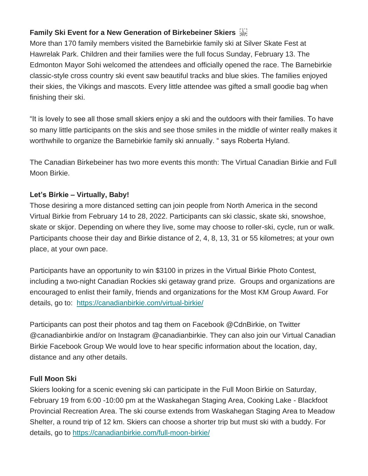# **Family Ski Event for a New Generation of Birkebeiner Skiers**

More than 170 family members visited the Barnebirkie family ski at Silver Skate Fest at Hawrelak Park. Children and their families were the full focus Sunday, February 13. The Edmonton Mayor Sohi welcomed the attendees and officially opened the race. The Barnebirkie classic-style cross country ski event saw beautiful tracks and blue skies. The families enjoyed their skies, the Vikings and mascots. Every little attendee was gifted a small goodie bag when finishing their ski.

"It is lovely to see all those small skiers enjoy a ski and the outdoors with their families. To have so many little participants on the skis and see those smiles in the middle of winter really makes it worthwhile to organize the Barnebirkie family ski annually. " says Roberta Hyland.

The Canadian Birkebeiner has two more events this month: The Virtual Canadian Birkie and Full Moon Birkie.

# **Let's Birkie – Virtually, Baby!**

Those desiring a more distanced setting can join people from North America in the second Virtual Birkie from February 14 to 28, 2022. Participants can ski classic, skate ski, snowshoe, skate or skijor. Depending on where they live, some may choose to roller-ski, cycle, run or walk. Participants choose their day and Birkie distance of 2, 4, 8, 13, 31 or 55 kilometres; at your own place, at your own pace.

Participants have an opportunity to win \$3100 in prizes in the Virtual Birkie Photo Contest, including a two-night Canadian Rockies ski getaway grand prize. Groups and organizations are encouraged to enlist their family, friends and organizations for the Most KM Group Award. For details, go to: <https://canadianbirkie.com/virtual-birkie/>

Participants can post their photos and tag them on Facebook @CdnBirkie, on Twitter @canadianbirkie and/or on Instagram @canadianbirkie. They can also join our Virtual Canadian Birkie Facebook Group We would love to hear specific information about the location, day, distance and any other details.

# **Full Moon Ski**

Skiers looking for a scenic evening ski can participate in the Full Moon Birkie on Saturday, February 19 from 6:00 -10:00 pm at the Waskahegan Staging Area, Cooking Lake - Blackfoot Provincial Recreation Area. The ski course extends from Waskahegan Staging Area to Meadow Shelter, a round trip of 12 km. Skiers can choose a shorter trip but must ski with a buddy. For details, go to <https://canadianbirkie.com/full-moon-birkie/>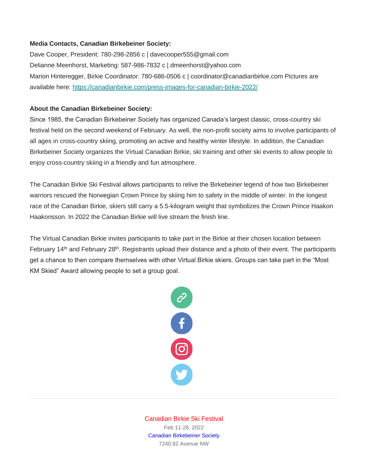### **Media Contacts, Canadian Birkebeiner Society:**

Dave Cooper, President: 780-298-2856 c | davecooper555@gmail.com Delianne Meenhorst, Marketing: 587-986-7832 c | dmeenhorst@yahoo.com Marion Hinteregger, Birkie Coordinator: 780-686-0506 c | coordinator@canadianbirkie.com Pictures are available here: <https://canadianbirkie.com/press-images-for-canadian-birkie-2022/>

## **About the Canadian Birkebeiner Society:**

Since 1985, the Canadian Birkebeiner Society has organized Canada's largest classic, cross-country ski festival held on the second weekend of February. As well, the non-profit society aims to involve participants of all ages in cross-country skiing, promoting an active and healthy winter lifestyle. In addition, the Canadian Birkebeiner Society organizes the Virtual Canadian Birkie, ski training and other ski events to allow people to enjoy cross-country skiing in a friendly and fun atmosphere.

The Canadian Birkie Ski Festival allows participants to relive the Birkebeiner legend of how two Birkebeiner warriors rescued the Norwegian Crown Prince by skiing him to safety in the middle of winter. In the longest race of the Canadian Birkie, skiers still carry a 5.5-kilogram weight that symbolizes the Crown Prince Haakon Haakonsson. In 2022 the Canadian Birkie will live stream the finish line.

The Virtual Canadian Birkie invites participants to take part in the Birkie at their chosen location between February 14<sup>th</sup> and February 28<sup>th</sup>. Registrants upload their distance and a photo of their event. The participants get a chance to then compare themselves with other Virtual Birkie skiers. Groups can take part in the "Most KM Skied" Award allowing people to set a group goal.



Canadian Birkie Ski Festival Feb 11-28, 2022 Canadian Birkebeiner Society 7240 82 Avenue NW